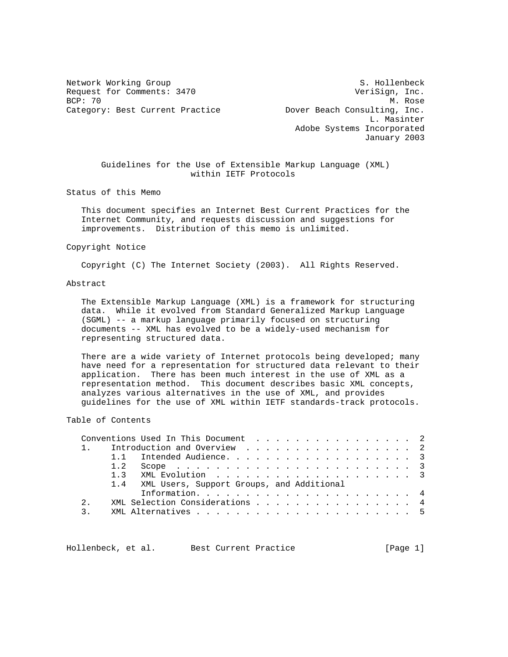Request for Comments: 3470 VeriSign, Inc.<br>BCP: 70 M. Rose BCP: 70 M. Rose

Network Working Group S. Hollenbeck Category: Best Current Practice The Dover Beach Consulting, Inc. L. Masinter Adobe Systems Incorporated January 2003

 Guidelines for the Use of Extensible Markup Language (XML) within IETF Protocols

Status of this Memo

 This document specifies an Internet Best Current Practices for the Internet Community, and requests discussion and suggestions for improvements. Distribution of this memo is unlimited.

### Copyright Notice

Copyright (C) The Internet Society (2003). All Rights Reserved.

# Abstract

 The Extensible Markup Language (XML) is a framework for structuring data. While it evolved from Standard Generalized Markup Language (SGML) -- a markup language primarily focused on structuring documents -- XML has evolved to be a widely-used mechanism for representing structured data.

 There are a wide variety of Internet protocols being developed; many have need for a representation for structured data relevant to their application. There has been much interest in the use of XML as a representation method. This document describes basic XML concepts, analyzes various alternatives in the use of XML, and provides guidelines for the use of XML within IETF standards-track protocols.

# Table of Contents

|               | Conventions Used In This Document 2           |  |  |  |  |  |  |  |  |  |  |
|---------------|-----------------------------------------------|--|--|--|--|--|--|--|--|--|--|
|               | 1. Introduction and Overview 2                |  |  |  |  |  |  |  |  |  |  |
|               | 1.1 Intended Audience. 3                      |  |  |  |  |  |  |  |  |  |  |
|               |                                               |  |  |  |  |  |  |  |  |  |  |
|               |                                               |  |  |  |  |  |  |  |  |  |  |
|               | 1.4 XML Users, Support Groups, and Additional |  |  |  |  |  |  |  |  |  |  |
|               |                                               |  |  |  |  |  |  |  |  |  |  |
| $2^{\circ}$   | XML Selection Considerations 4                |  |  |  |  |  |  |  |  |  |  |
| $\mathcal{R}$ |                                               |  |  |  |  |  |  |  |  |  |  |
|               |                                               |  |  |  |  |  |  |  |  |  |  |

Hollenbeck, et al. Best Current Practice [Page 1]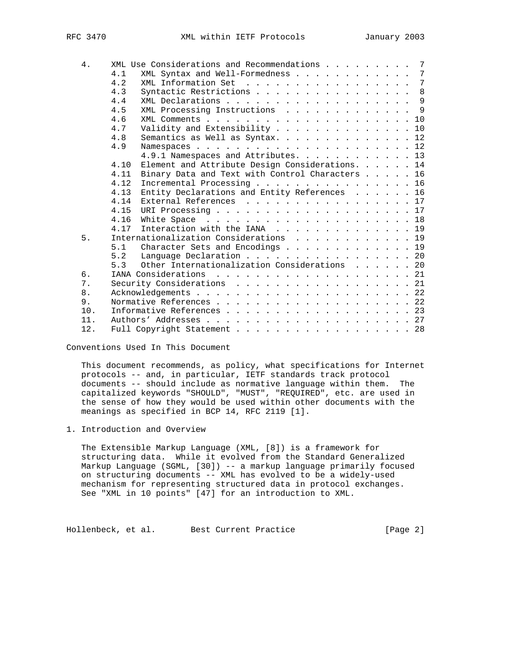| 4.  | XML Use Considerations and Recommendations 7                                                                    |
|-----|-----------------------------------------------------------------------------------------------------------------|
|     | XML Syntax and Well-Formedness 7<br>4.1                                                                         |
|     | XML Information Set 7<br>4.2                                                                                    |
|     | Syntactic Restrictions 8<br>4.3                                                                                 |
|     | 4.4<br>XML Declarations 9                                                                                       |
|     | XML Processing Instructions 9<br>4.5                                                                            |
|     | 4.6<br>$XML$ Comments $\ldots$ $\ldots$ $\ldots$ $\ldots$ $\ldots$ $\ldots$ $\ldots$ $\ldots$ $\ldots$ $\ldots$ |
|     | Validity and Extensibility 10<br>4.7                                                                            |
|     | 4.8<br>Semantics as Well as Syntax. 12                                                                          |
|     | 4.9                                                                                                             |
|     | 4.9.1 Namespaces and Attributes. 13                                                                             |
|     | Element and Attribute Design Considerations. 14<br>4.10                                                         |
|     | Binary Data and Text with Control Characters 16<br>4.11                                                         |
|     | Incremental Processing 16<br>4.12                                                                               |
|     | Entity Declarations and Entity References 16<br>4.13                                                            |
|     | External References 17<br>4.14                                                                                  |
|     | 4.15                                                                                                            |
|     | 4.16                                                                                                            |
|     | Interaction with the IANA 19<br>4.17                                                                            |
| 5.  | Internationalization Considerations 19                                                                          |
|     | 5.1<br>Character Sets and Encodings 19                                                                          |
|     | 5.2<br>Language Declaration 20                                                                                  |
|     | Other Internationalization Considerations 20<br>5.3                                                             |
| б.  | IANA Considerations 21                                                                                          |
| 7.  | Security Considerations 21                                                                                      |
| 8.  |                                                                                                                 |
| 9.  |                                                                                                                 |
| 10. | Informative References 23                                                                                       |
| 11. |                                                                                                                 |
| 12. | Full Copyright Statement 28                                                                                     |
|     |                                                                                                                 |

Conventions Used In This Document

 This document recommends, as policy, what specifications for Internet protocols -- and, in particular, IETF standards track protocol documents -- should include as normative language within them. The capitalized keywords "SHOULD", "MUST", "REQUIRED", etc. are used in the sense of how they would be used within other documents with the meanings as specified in BCP 14, RFC 2119 [1].

1. Introduction and Overview

 The Extensible Markup Language (XML, [8]) is a framework for structuring data. While it evolved from the Standard Generalized Markup Language (SGML, [30]) -- a markup language primarily focused on structuring documents -- XML has evolved to be a widely-used mechanism for representing structured data in protocol exchanges. See "XML in 10 points" [47] for an introduction to XML.

Hollenbeck, et al. Best Current Practice [Page 2]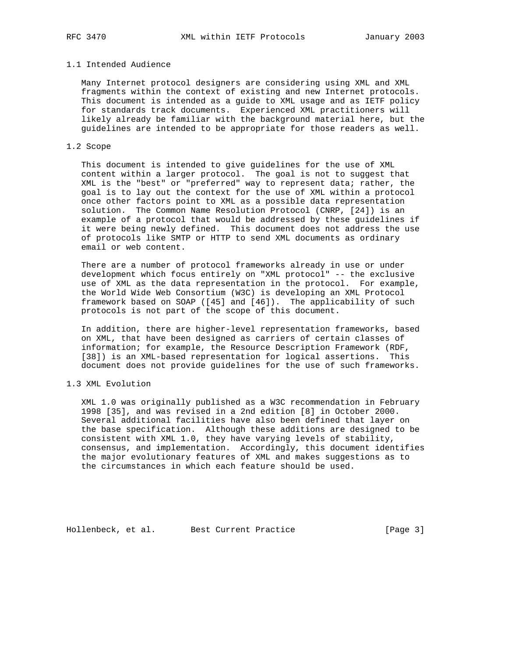## 1.1 Intended Audience

 Many Internet protocol designers are considering using XML and XML fragments within the context of existing and new Internet protocols. This document is intended as a guide to XML usage and as IETF policy for standards track documents. Experienced XML practitioners will likely already be familiar with the background material here, but the guidelines are intended to be appropriate for those readers as well.

## 1.2 Scope

 This document is intended to give guidelines for the use of XML content within a larger protocol. The goal is not to suggest that XML is the "best" or "preferred" way to represent data; rather, the goal is to lay out the context for the use of XML within a protocol once other factors point to XML as a possible data representation solution. The Common Name Resolution Protocol (CNRP, [24]) is an example of a protocol that would be addressed by these guidelines if it were being newly defined. This document does not address the use of protocols like SMTP or HTTP to send XML documents as ordinary email or web content.

 There are a number of protocol frameworks already in use or under development which focus entirely on "XML protocol" -- the exclusive use of XML as the data representation in the protocol. For example, the World Wide Web Consortium (W3C) is developing an XML Protocol framework based on SOAP ([45] and [46]). The applicability of such protocols is not part of the scope of this document.

 In addition, there are higher-level representation frameworks, based on XML, that have been designed as carriers of certain classes of information; for example, the Resource Description Framework (RDF, [38]) is an XML-based representation for logical assertions. This document does not provide guidelines for the use of such frameworks.

## 1.3 XML Evolution

 XML 1.0 was originally published as a W3C recommendation in February 1998 [35], and was revised in a 2nd edition [8] in October 2000. Several additional facilities have also been defined that layer on the base specification. Although these additions are designed to be consistent with XML 1.0, they have varying levels of stability, consensus, and implementation. Accordingly, this document identifies the major evolutionary features of XML and makes suggestions as to the circumstances in which each feature should be used.

Hollenbeck, et al. Best Current Practice [Page 3]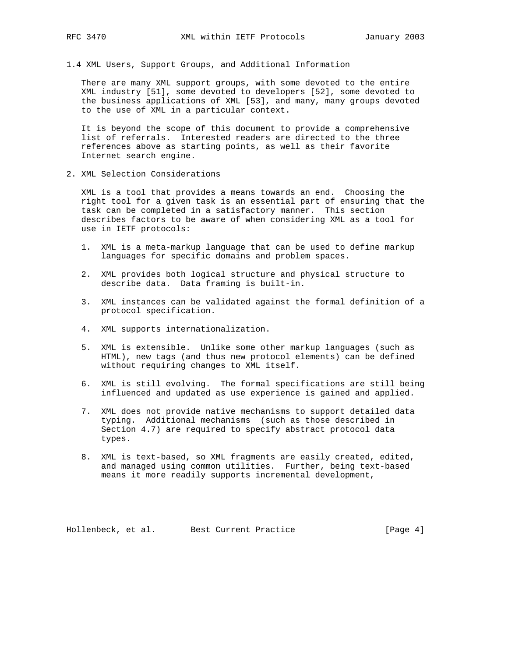1.4 XML Users, Support Groups, and Additional Information

 There are many XML support groups, with some devoted to the entire XML industry [51], some devoted to developers [52], some devoted to the business applications of XML [53], and many, many groups devoted to the use of XML in a particular context.

 It is beyond the scope of this document to provide a comprehensive list of referrals. Interested readers are directed to the three references above as starting points, as well as their favorite Internet search engine.

2. XML Selection Considerations

 XML is a tool that provides a means towards an end. Choosing the right tool for a given task is an essential part of ensuring that the task can be completed in a satisfactory manner. This section describes factors to be aware of when considering XML as a tool for use in IETF protocols:

- 1. XML is a meta-markup language that can be used to define markup languages for specific domains and problem spaces.
- 2. XML provides both logical structure and physical structure to describe data. Data framing is built-in.
- 3. XML instances can be validated against the formal definition of a protocol specification.
- 4. XML supports internationalization.
- 5. XML is extensible. Unlike some other markup languages (such as HTML), new tags (and thus new protocol elements) can be defined without requiring changes to XML itself.
- 6. XML is still evolving. The formal specifications are still being influenced and updated as use experience is gained and applied.
- 7. XML does not provide native mechanisms to support detailed data typing. Additional mechanisms (such as those described in Section 4.7) are required to specify abstract protocol data types.
- 8. XML is text-based, so XML fragments are easily created, edited, and managed using common utilities. Further, being text-based means it more readily supports incremental development,

Hollenbeck, et al. Best Current Practice [Page 4]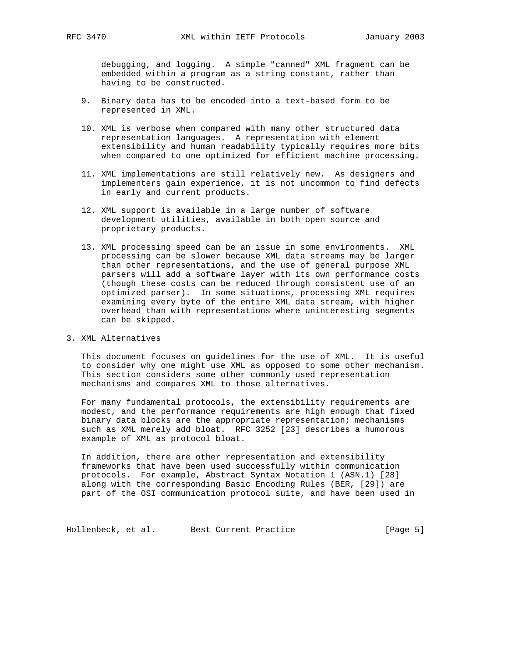debugging, and logging. A simple "canned" XML fragment can be embedded within a program as a string constant, rather than having to be constructed.

- 9. Binary data has to be encoded into a text-based form to be represented in XML.
- 10. XML is verbose when compared with many other structured data representation languages. A representation with element extensibility and human readability typically requires more bits when compared to one optimized for efficient machine processing.
- 11. XML implementations are still relatively new. As designers and implementers gain experience, it is not uncommon to find defects in early and current products.
- 12. XML support is available in a large number of software development utilities, available in both open source and proprietary products.
- 13. XML processing speed can be an issue in some environments. XML processing can be slower because XML data streams may be larger than other representations, and the use of general purpose XML parsers will add a software layer with its own performance costs (though these costs can be reduced through consistent use of an optimized parser). In some situations, processing XML requires examining every byte of the entire XML data stream, with higher overhead than with representations where uninteresting segments can be skipped.

# 3. XML Alternatives

 This document focuses on guidelines for the use of XML. It is useful to consider why one might use XML as opposed to some other mechanism. This section considers some other commonly used representation mechanisms and compares XML to those alternatives.

 For many fundamental protocols, the extensibility requirements are modest, and the performance requirements are high enough that fixed binary data blocks are the appropriate representation; mechanisms such as XML merely add bloat. RFC 3252 [23] describes a humorous example of XML as protocol bloat.

 In addition, there are other representation and extensibility frameworks that have been used successfully within communication protocols. For example, Abstract Syntax Notation 1 (ASN.1) [28] along with the corresponding Basic Encoding Rules (BER, [29]) are part of the OSI communication protocol suite, and have been used in

Hollenbeck, et al. Best Current Practice [Page 5]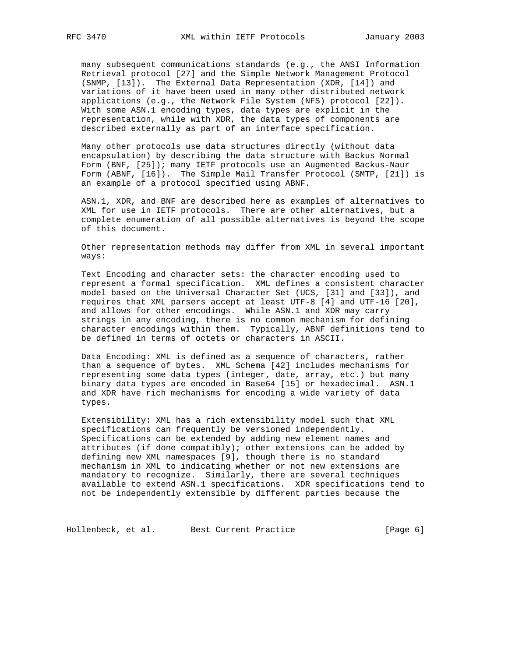many subsequent communications standards (e.g., the ANSI Information Retrieval protocol [27] and the Simple Network Management Protocol (SNMP, [13]). The External Data Representation (XDR, [14]) and variations of it have been used in many other distributed network applications (e.g., the Network File System (NFS) protocol [22]). With some ASN.1 encoding types, data types are explicit in the representation, while with XDR, the data types of components are described externally as part of an interface specification.

 Many other protocols use data structures directly (without data encapsulation) by describing the data structure with Backus Normal Form (BNF, [25]); many IETF protocols use an Augmented Backus-Naur Form (ABNF, [16]). The Simple Mail Transfer Protocol (SMTP, [21]) is an example of a protocol specified using ABNF.

 ASN.1, XDR, and BNF are described here as examples of alternatives to XML for use in IETF protocols. There are other alternatives, but a complete enumeration of all possible alternatives is beyond the scope of this document.

 Other representation methods may differ from XML in several important ways:

 Text Encoding and character sets: the character encoding used to represent a formal specification. XML defines a consistent character model based on the Universal Character Set (UCS, [31] and [33]), and requires that XML parsers accept at least UTF-8 [4] and UTF-16 [20], and allows for other encodings. While ASN.1 and XDR may carry strings in any encoding, there is no common mechanism for defining character encodings within them. Typically, ABNF definitions tend to be defined in terms of octets or characters in ASCII.

 Data Encoding: XML is defined as a sequence of characters, rather than a sequence of bytes. XML Schema [42] includes mechanisms for representing some data types (integer, date, array, etc.) but many binary data types are encoded in Base64 [15] or hexadecimal. ASN.1 and XDR have rich mechanisms for encoding a wide variety of data types.

 Extensibility: XML has a rich extensibility model such that XML specifications can frequently be versioned independently. Specifications can be extended by adding new element names and attributes (if done compatibly); other extensions can be added by defining new XML namespaces [9], though there is no standard mechanism in XML to indicating whether or not new extensions are mandatory to recognize. Similarly, there are several techniques available to extend ASN.1 specifications. XDR specifications tend to not be independently extensible by different parties because the

Hollenbeck, et al. Best Current Practice [Page 6]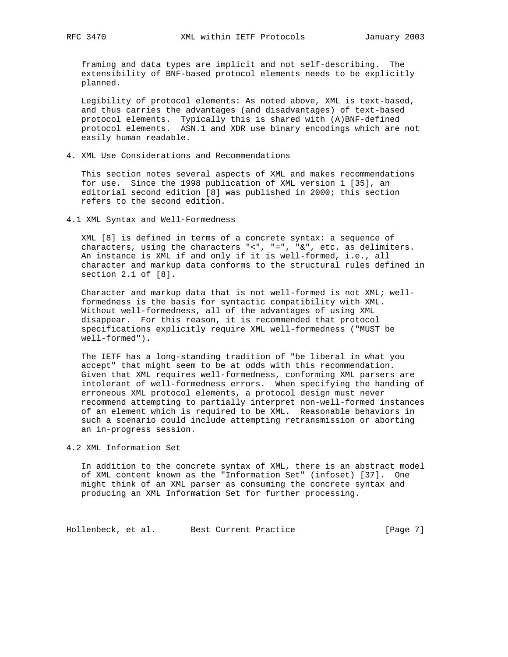framing and data types are implicit and not self-describing. The extensibility of BNF-based protocol elements needs to be explicitly planned.

 Legibility of protocol elements: As noted above, XML is text-based, and thus carries the advantages (and disadvantages) of text-based protocol elements. Typically this is shared with (A)BNF-defined protocol elements. ASN.1 and XDR use binary encodings which are not easily human readable.

4. XML Use Considerations and Recommendations

 This section notes several aspects of XML and makes recommendations for use. Since the 1998 publication of XML version 1 [35], an editorial second edition [8] was published in 2000; this section refers to the second edition.

4.1 XML Syntax and Well-Formedness

 XML [8] is defined in terms of a concrete syntax: a sequence of characters, using the characters "<", "=", "&", etc. as delimiters. An instance is XML if and only if it is well-formed, i.e., all character and markup data conforms to the structural rules defined in section 2.1 of [8].

 Character and markup data that is not well-formed is not XML; well formedness is the basis for syntactic compatibility with XML. Without well-formedness, all of the advantages of using XML disappear. For this reason, it is recommended that protocol specifications explicitly require XML well-formedness ("MUST be well-formed").

 The IETF has a long-standing tradition of "be liberal in what you accept" that might seem to be at odds with this recommendation. Given that XML requires well-formedness, conforming XML parsers are intolerant of well-formedness errors. When specifying the handing of erroneous XML protocol elements, a protocol design must never recommend attempting to partially interpret non-well-formed instances of an element which is required to be XML. Reasonable behaviors in such a scenario could include attempting retransmission or aborting an in-progress session.

4.2 XML Information Set

 In addition to the concrete syntax of XML, there is an abstract model of XML content known as the "Information Set" (infoset) [37]. One might think of an XML parser as consuming the concrete syntax and producing an XML Information Set for further processing.

Hollenbeck, et al. Best Current Practice [Page 7]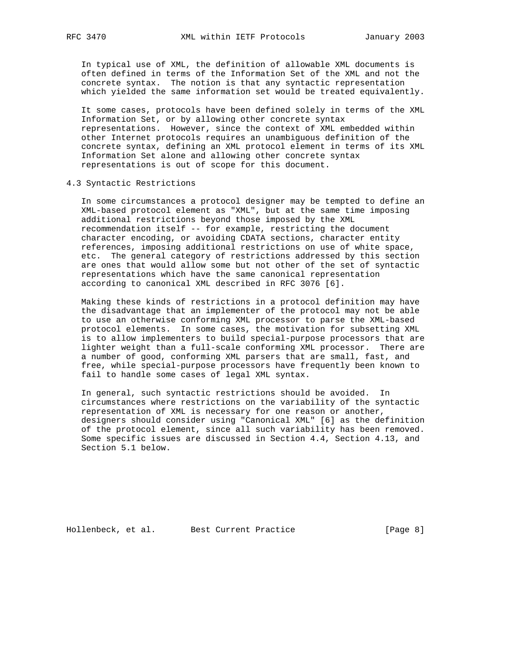In typical use of XML, the definition of allowable XML documents is often defined in terms of the Information Set of the XML and not the concrete syntax. The notion is that any syntactic representation which yielded the same information set would be treated equivalently.

 It some cases, protocols have been defined solely in terms of the XML Information Set, or by allowing other concrete syntax representations. However, since the context of XML embedded within other Internet protocols requires an unambiguous definition of the concrete syntax, defining an XML protocol element in terms of its XML Information Set alone and allowing other concrete syntax representations is out of scope for this document.

4.3 Syntactic Restrictions

 In some circumstances a protocol designer may be tempted to define an XML-based protocol element as "XML", but at the same time imposing additional restrictions beyond those imposed by the XML recommendation itself -- for example, restricting the document character encoding, or avoiding CDATA sections, character entity references, imposing additional restrictions on use of white space, etc. The general category of restrictions addressed by this section are ones that would allow some but not other of the set of syntactic representations which have the same canonical representation according to canonical XML described in RFC 3076 [6].

 Making these kinds of restrictions in a protocol definition may have the disadvantage that an implementer of the protocol may not be able to use an otherwise conforming XML processor to parse the XML-based protocol elements. In some cases, the motivation for subsetting XML is to allow implementers to build special-purpose processors that are lighter weight than a full-scale conforming XML processor. There are a number of good, conforming XML parsers that are small, fast, and free, while special-purpose processors have frequently been known to fail to handle some cases of legal XML syntax.

 In general, such syntactic restrictions should be avoided. In circumstances where restrictions on the variability of the syntactic representation of XML is necessary for one reason or another, designers should consider using "Canonical XML" [6] as the definition of the protocol element, since all such variability has been removed. Some specific issues are discussed in Section 4.4, Section 4.13, and Section 5.1 below.

Hollenbeck, et al. Best Current Practice [Page 8]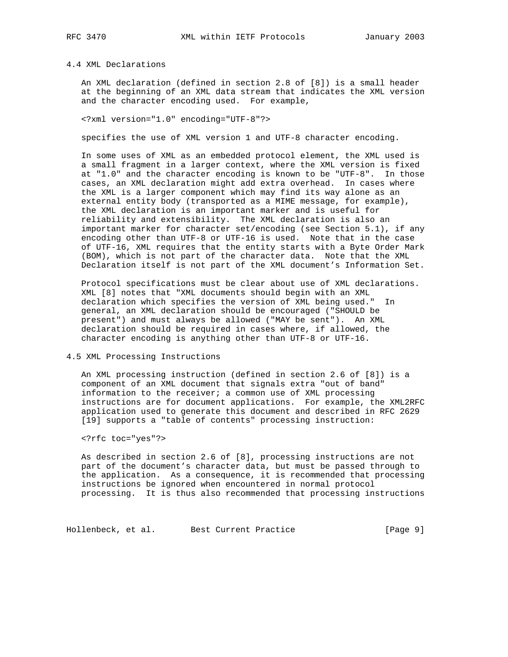# 4.4 XML Declarations

 An XML declaration (defined in section 2.8 of [8]) is a small header at the beginning of an XML data stream that indicates the XML version and the character encoding used. For example,

<?xml version="1.0" encoding="UTF-8"?>

specifies the use of XML version 1 and UTF-8 character encoding.

 In some uses of XML as an embedded protocol element, the XML used is a small fragment in a larger context, where the XML version is fixed at "1.0" and the character encoding is known to be "UTF-8". In those cases, an XML declaration might add extra overhead. In cases where the XML is a larger component which may find its way alone as an external entity body (transported as a MIME message, for example), the XML declaration is an important marker and is useful for reliability and extensibility. The XML declaration is also an important marker for character set/encoding (see Section 5.1), if any encoding other than UTF-8 or UTF-16 is used. Note that in the case of UTF-16, XML requires that the entity starts with a Byte Order Mark (BOM), which is not part of the character data. Note that the XML Declaration itself is not part of the XML document's Information Set.

 Protocol specifications must be clear about use of XML declarations. XML [8] notes that "XML documents should begin with an XML declaration which specifies the version of XML being used." In general, an XML declaration should be encouraged ("SHOULD be present") and must always be allowed ("MAY be sent"). An XML declaration should be required in cases where, if allowed, the character encoding is anything other than UTF-8 or UTF-16.

4.5 XML Processing Instructions

 An XML processing instruction (defined in section 2.6 of [8]) is a component of an XML document that signals extra "out of band" information to the receiver; a common use of XML processing instructions are for document applications. For example, the XML2RFC application used to generate this document and described in RFC 2629 [19] supports a "table of contents" processing instruction:

<?rfc toc="yes"?>

 As described in section 2.6 of [8], processing instructions are not part of the document's character data, but must be passed through to the application. As a consequence, it is recommended that processing instructions be ignored when encountered in normal protocol processing. It is thus also recommended that processing instructions

Hollenbeck, et al. Best Current Practice [Page 9]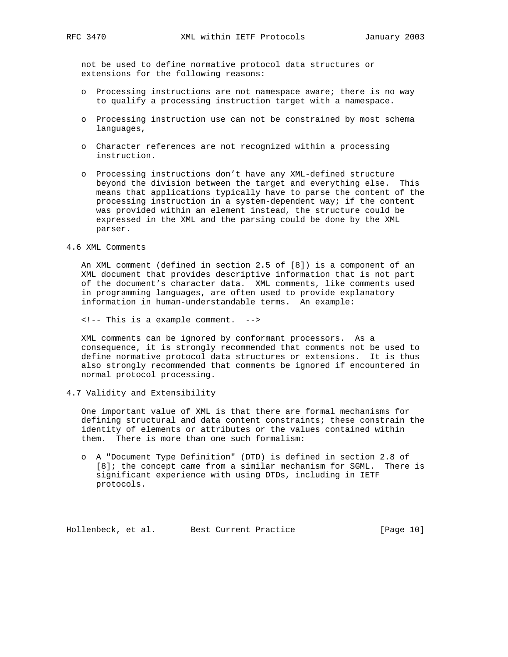not be used to define normative protocol data structures or extensions for the following reasons:

- o Processing instructions are not namespace aware; there is no way to qualify a processing instruction target with a namespace.
- o Processing instruction use can not be constrained by most schema languages,
- o Character references are not recognized within a processing instruction.
- o Processing instructions don't have any XML-defined structure beyond the division between the target and everything else. This means that applications typically have to parse the content of the processing instruction in a system-dependent way; if the content was provided within an element instead, the structure could be expressed in the XML and the parsing could be done by the XML parser.

4.6 XML Comments

 An XML comment (defined in section 2.5 of [8]) is a component of an XML document that provides descriptive information that is not part of the document's character data. XML comments, like comments used in programming languages, are often used to provide explanatory information in human-understandable terms. An example:

<!-- This is a example comment. -->

 XML comments can be ignored by conformant processors. As a consequence, it is strongly recommended that comments not be used to define normative protocol data structures or extensions. It is thus also strongly recommended that comments be ignored if encountered in normal protocol processing.

4.7 Validity and Extensibility

 One important value of XML is that there are formal mechanisms for defining structural and data content constraints; these constrain the identity of elements or attributes or the values contained within them. There is more than one such formalism:

 o A "Document Type Definition" (DTD) is defined in section 2.8 of [8]; the concept came from a similar mechanism for SGML. There is significant experience with using DTDs, including in IETF protocols.

Hollenbeck, et al. Best Current Practice [Page 10]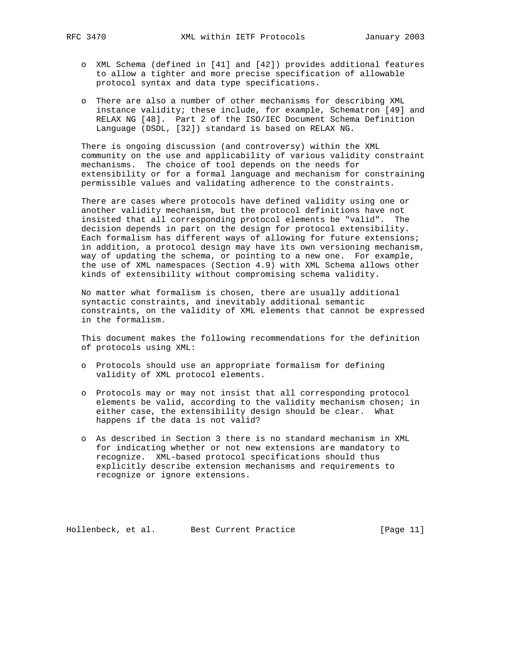- o XML Schema (defined in [41] and [42]) provides additional features to allow a tighter and more precise specification of allowable protocol syntax and data type specifications.
- o There are also a number of other mechanisms for describing XML instance validity; these include, for example, Schematron [49] and RELAX NG [48]. Part 2 of the ISO/IEC Document Schema Definition Language (DSDL, [32]) standard is based on RELAX NG.

 There is ongoing discussion (and controversy) within the XML community on the use and applicability of various validity constraint mechanisms. The choice of tool depends on the needs for extensibility or for a formal language and mechanism for constraining permissible values and validating adherence to the constraints.

 There are cases where protocols have defined validity using one or another validity mechanism, but the protocol definitions have not insisted that all corresponding protocol elements be "valid". The decision depends in part on the design for protocol extensibility. Each formalism has different ways of allowing for future extensions; in addition, a protocol design may have its own versioning mechanism, way of updating the schema, or pointing to a new one. For example, the use of XML namespaces (Section 4.9) with XML Schema allows other kinds of extensibility without compromising schema validity.

 No matter what formalism is chosen, there are usually additional syntactic constraints, and inevitably additional semantic constraints, on the validity of XML elements that cannot be expressed in the formalism.

 This document makes the following recommendations for the definition of protocols using XML:

- o Protocols should use an appropriate formalism for defining validity of XML protocol elements.
- o Protocols may or may not insist that all corresponding protocol elements be valid, according to the validity mechanism chosen; in either case, the extensibility design should be clear. What happens if the data is not valid?
- o As described in Section 3 there is no standard mechanism in XML for indicating whether or not new extensions are mandatory to recognize. XML-based protocol specifications should thus explicitly describe extension mechanisms and requirements to recognize or ignore extensions.

Hollenbeck, et al. Best Current Practice [Page 11]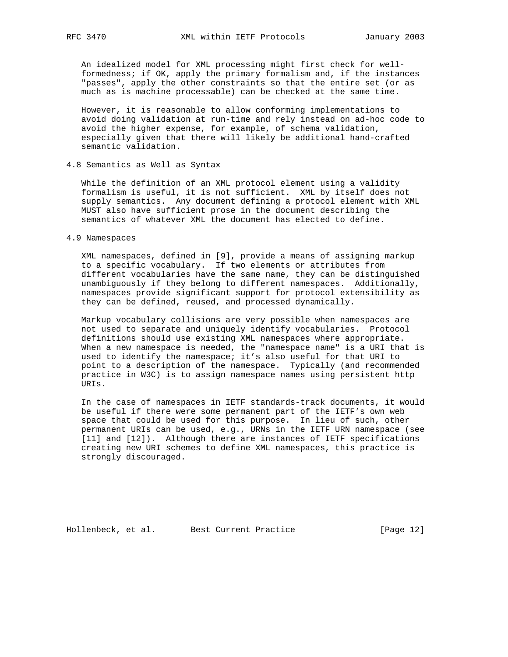An idealized model for XML processing might first check for well formedness; if OK, apply the primary formalism and, if the instances "passes", apply the other constraints so that the entire set (or as much as is machine processable) can be checked at the same time.

 However, it is reasonable to allow conforming implementations to avoid doing validation at run-time and rely instead on ad-hoc code to avoid the higher expense, for example, of schema validation, especially given that there will likely be additional hand-crafted semantic validation.

## 4.8 Semantics as Well as Syntax

 While the definition of an XML protocol element using a validity formalism is useful, it is not sufficient. XML by itself does not supply semantics. Any document defining a protocol element with XML MUST also have sufficient prose in the document describing the semantics of whatever XML the document has elected to define.

#### 4.9 Namespaces

 XML namespaces, defined in [9], provide a means of assigning markup to a specific vocabulary. If two elements or attributes from different vocabularies have the same name, they can be distinguished unambiguously if they belong to different namespaces. Additionally, namespaces provide significant support for protocol extensibility as they can be defined, reused, and processed dynamically.

 Markup vocabulary collisions are very possible when namespaces are not used to separate and uniquely identify vocabularies. Protocol definitions should use existing XML namespaces where appropriate. When a new namespace is needed, the "namespace name" is a URI that is used to identify the namespace; it's also useful for that URI to point to a description of the namespace. Typically (and recommended practice in W3C) is to assign namespace names using persistent http URIs.

 In the case of namespaces in IETF standards-track documents, it would be useful if there were some permanent part of the IETF's own web space that could be used for this purpose. In lieu of such, other permanent URIs can be used, e.g., URNs in the IETF URN namespace (see [11] and [12]). Although there are instances of IETF specifications creating new URI schemes to define XML namespaces, this practice is strongly discouraged.

Hollenbeck, et al. Best Current Practice [Page 12]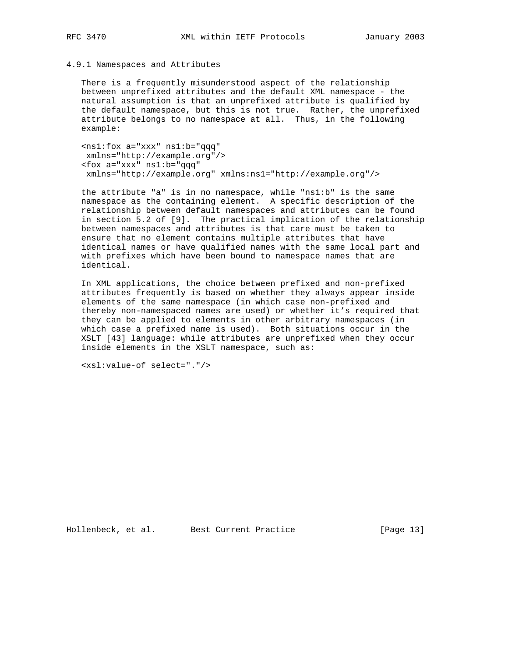## 4.9.1 Namespaces and Attributes

 There is a frequently misunderstood aspect of the relationship between unprefixed attributes and the default XML namespace - the natural assumption is that an unprefixed attribute is qualified by the default namespace, but this is not true. Rather, the unprefixed attribute belongs to no namespace at all. Thus, in the following example:

 <ns1:fox a="xxx" ns1:b="qqq" xmlns="http://example.org"/> <fox a="xxx" ns1:b="qqq" xmlns="http://example.org" xmlns:ns1="http://example.org"/>

 the attribute "a" is in no namespace, while "ns1:b" is the same namespace as the containing element. A specific description of the relationship between default namespaces and attributes can be found in section 5.2 of [9]. The practical implication of the relationship between namespaces and attributes is that care must be taken to ensure that no element contains multiple attributes that have identical names or have qualified names with the same local part and with prefixes which have been bound to namespace names that are identical.

 In XML applications, the choice between prefixed and non-prefixed attributes frequently is based on whether they always appear inside elements of the same namespace (in which case non-prefixed and thereby non-namespaced names are used) or whether it's required that they can be applied to elements in other arbitrary namespaces (in which case a prefixed name is used). Both situations occur in the XSLT [43] language: while attributes are unprefixed when they occur inside elements in the XSLT namespace, such as:

```
 <xsl:value-of select="."/>
```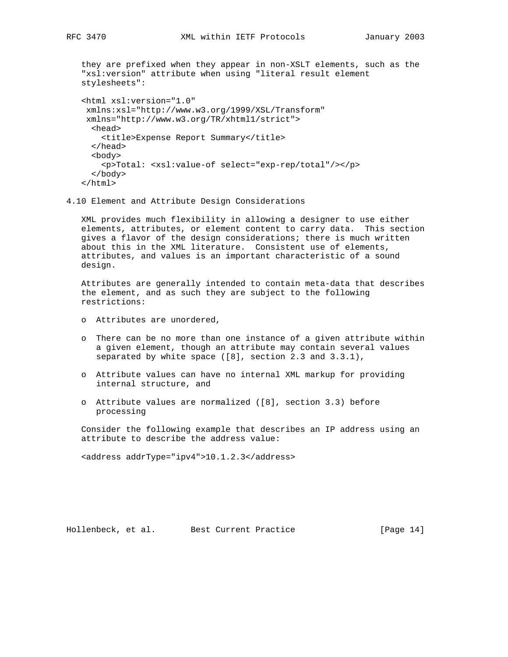they are prefixed when they appear in non-XSLT elements, such as the "xsl:version" attribute when using "literal result element stylesheets": <html xsl:version="1.0" xmlns:xsl="http://www.w3.org/1999/XSL/Transform" xmlns="http://www.w3.org/TR/xhtml1/strict"> <head> <title>Expense Report Summary</title> </head> <body> <p>Total: <xsl:value-of select="exp-rep/total"/></p> </body> </html>

4.10 Element and Attribute Design Considerations

 XML provides much flexibility in allowing a designer to use either elements, attributes, or element content to carry data. This section gives a flavor of the design considerations; there is much written about this in the XML literature. Consistent use of elements, attributes, and values is an important characteristic of a sound design.

 Attributes are generally intended to contain meta-data that describes the element, and as such they are subject to the following restrictions:

- o Attributes are unordered,
- o There can be no more than one instance of a given attribute within a given element, though an attribute may contain several values separated by white space ([8], section 2.3 and 3.3.1),
- o Attribute values can have no internal XML markup for providing internal structure, and
- o Attribute values are normalized ([8], section 3.3) before processing

 Consider the following example that describes an IP address using an attribute to describe the address value:

<address addrType="ipv4">10.1.2.3</address>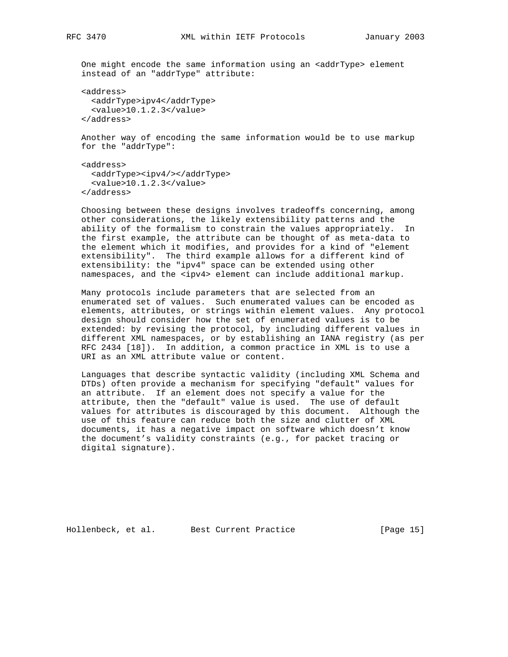One might encode the same information using an <addrType> element instead of an "addrType" attribute:

```
 <address>
  <addrType>ipv4</addrType>
  <value>10.1.2.3</value>
</address>
```
 Another way of encoding the same information would be to use markup for the "addrType":

```
 <address>
  <addrType><ipv4/></addrType>
  <value>10.1.2.3</value>
</address>
```
 Choosing between these designs involves tradeoffs concerning, among other considerations, the likely extensibility patterns and the ability of the formalism to constrain the values appropriately. In the first example, the attribute can be thought of as meta-data to the element which it modifies, and provides for a kind of "element extensibility". The third example allows for a different kind of extensibility: the "ipv4" space can be extended using other namespaces, and the <ipv4> element can include additional markup.

 Many protocols include parameters that are selected from an enumerated set of values. Such enumerated values can be encoded as elements, attributes, or strings within element values. Any protocol design should consider how the set of enumerated values is to be extended: by revising the protocol, by including different values in different XML namespaces, or by establishing an IANA registry (as per RFC 2434 [18]). In addition, a common practice in XML is to use a URI as an XML attribute value or content.

 Languages that describe syntactic validity (including XML Schema and DTDs) often provide a mechanism for specifying "default" values for an attribute. If an element does not specify a value for the attribute, then the "default" value is used. The use of default values for attributes is discouraged by this document. Although the use of this feature can reduce both the size and clutter of XML documents, it has a negative impact on software which doesn't know the document's validity constraints (e.g., for packet tracing or digital signature).

Hollenbeck, et al. Best Current Practice [Page 15]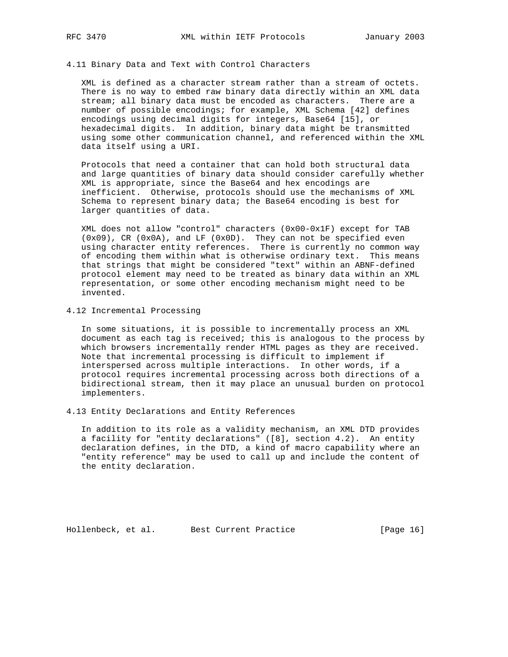## 4.11 Binary Data and Text with Control Characters

 XML is defined as a character stream rather than a stream of octets. There is no way to embed raw binary data directly within an XML data stream; all binary data must be encoded as characters. There are a number of possible encodings; for example, XML Schema [42] defines encodings using decimal digits for integers, Base64 [15], or hexadecimal digits. In addition, binary data might be transmitted using some other communication channel, and referenced within the XML data itself using a URI.

 Protocols that need a container that can hold both structural data and large quantities of binary data should consider carefully whether XML is appropriate, since the Base64 and hex encodings are inefficient. Otherwise, protocols should use the mechanisms of XML Schema to represent binary data; the Base64 encoding is best for larger quantities of data.

 XML does not allow "control" characters (0x00-0x1F) except for TAB (0x09), CR (0x0A), and LF (0x0D). They can not be specified even using character entity references. There is currently no common way of encoding them within what is otherwise ordinary text. This means that strings that might be considered "text" within an ABNF-defined protocol element may need to be treated as binary data within an XML representation, or some other encoding mechanism might need to be invented.

4.12 Incremental Processing

 In some situations, it is possible to incrementally process an XML document as each tag is received; this is analogous to the process by which browsers incrementally render HTML pages as they are received. Note that incremental processing is difficult to implement if interspersed across multiple interactions. In other words, if a protocol requires incremental processing across both directions of a bidirectional stream, then it may place an unusual burden on protocol implementers.

4.13 Entity Declarations and Entity References

 In addition to its role as a validity mechanism, an XML DTD provides a facility for "entity declarations" ([8], section 4.2). An entity declaration defines, in the DTD, a kind of macro capability where an "entity reference" may be used to call up and include the content of the entity declaration.

Hollenbeck, et al. Best Current Practice [Page 16]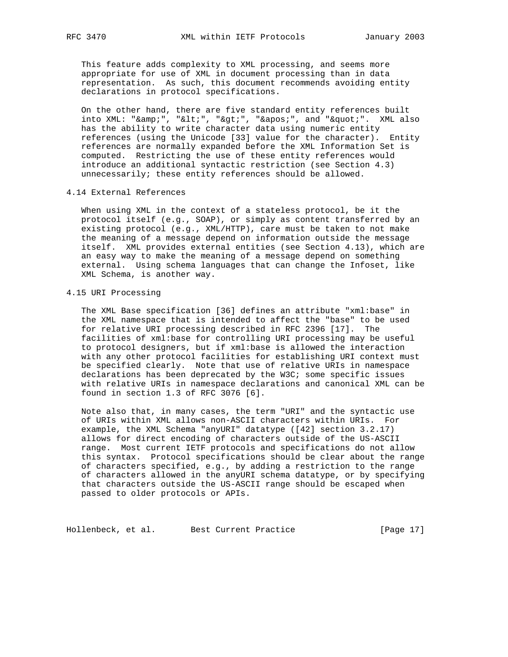This feature adds complexity to XML processing, and seems more appropriate for use of XML in document processing than in data representation. As such, this document recommends avoiding entity declarations in protocol specifications.

 On the other hand, there are five standard entity references built  $into$  XML: " $& i$ ", " $&1i;$ ", " $&g1i;$ ", " $&ag1i;$ ", and " $"1i;$ ". XML also has the ability to write character data using numeric entity references (using the Unicode [33] value for the character). Entity references are normally expanded before the XML Information Set is computed. Restricting the use of these entity references would introduce an additional syntactic restriction (see Section 4.3) unnecessarily; these entity references should be allowed.

## 4.14 External References

 When using XML in the context of a stateless protocol, be it the protocol itself (e.g., SOAP), or simply as content transferred by an existing protocol (e.g., XML/HTTP), care must be taken to not make the meaning of a message depend on information outside the message itself. XML provides external entities (see Section 4.13), which are an easy way to make the meaning of a message depend on something external. Using schema languages that can change the Infoset, like XML Schema, is another way.

## 4.15 URI Processing

 The XML Base specification [36] defines an attribute "xml:base" in the XML namespace that is intended to affect the "base" to be used for relative URI processing described in RFC 2396 [17]. The facilities of xml:base for controlling URI processing may be useful to protocol designers, but if xml:base is allowed the interaction with any other protocol facilities for establishing URI context must be specified clearly. Note that use of relative URIs in namespace declarations has been deprecated by the W3C; some specific issues with relative URIs in namespace declarations and canonical XML can be found in section 1.3 of RFC 3076 [6].

 Note also that, in many cases, the term "URI" and the syntactic use of URIs within XML allows non-ASCII characters within URIs. For example, the XML Schema "anyURI" datatype ([42] section 3.2.17) allows for direct encoding of characters outside of the US-ASCII range. Most current IETF protocols and specifications do not allow this syntax. Protocol specifications should be clear about the range of characters specified, e.g., by adding a restriction to the range of characters allowed in the anyURI schema datatype, or by specifying that characters outside the US-ASCII range should be escaped when passed to older protocols or APIs.

Hollenbeck, et al. Best Current Practice [Page 17]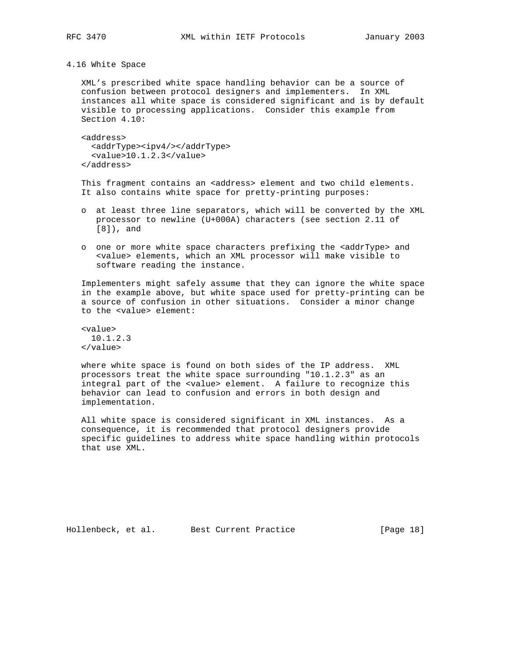## 4.16 White Space

 XML's prescribed white space handling behavior can be a source of confusion between protocol designers and implementers. In XML instances all white space is considered significant and is by default visible to processing applications. Consider this example from Section 4.10:

 <address> <addrType><ipv4/></addrType> <value>10.1.2.3</value> </address>

This fragment contains an <address> element and two child elements. It also contains white space for pretty-printing purposes:

- o at least three line separators, which will be converted by the XML processor to newline (U+000A) characters (see section 2.11 of [8]), and
- o one or more white space characters prefixing the <addrType> and <value> elements, which an XML processor will make visible to software reading the instance.

 Implementers might safely assume that they can ignore the white space in the example above, but white space used for pretty-printing can be a source of confusion in other situations. Consider a minor change to the <value> element:

 <value> 10.1.2.3 </value>

 where white space is found on both sides of the IP address. XML processors treat the white space surrounding "10.1.2.3" as an integral part of the <value> element. A failure to recognize this behavior can lead to confusion and errors in both design and implementation.

 All white space is considered significant in XML instances. As a consequence, it is recommended that protocol designers provide specific guidelines to address white space handling within protocols that use XML.

Hollenbeck, et al. Best Current Practice [Page 18]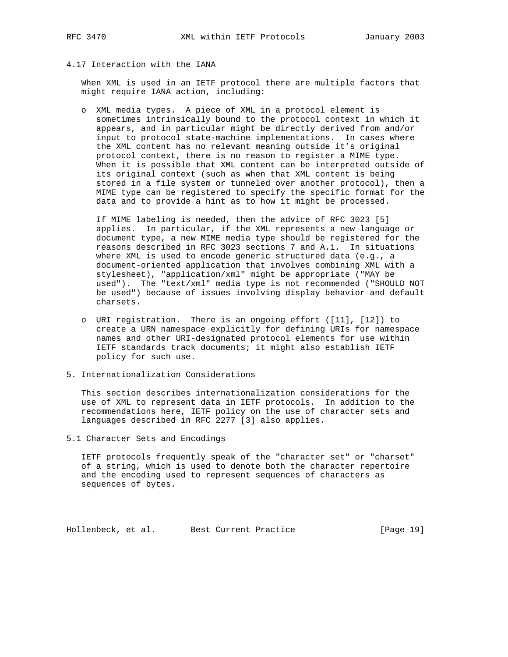# 4.17 Interaction with the IANA

 When XML is used in an IETF protocol there are multiple factors that might require IANA action, including:

 o XML media types. A piece of XML in a protocol element is sometimes intrinsically bound to the protocol context in which it appears, and in particular might be directly derived from and/or input to protocol state-machine implementations. In cases where the XML content has no relevant meaning outside it's original protocol context, there is no reason to register a MIME type. When it is possible that XML content can be interpreted outside of its original context (such as when that XML content is being stored in a file system or tunneled over another protocol), then a MIME type can be registered to specify the specific format for the data and to provide a hint as to how it might be processed.

 If MIME labeling is needed, then the advice of RFC 3023 [5] applies. In particular, if the XML represents a new language or document type, a new MIME media type should be registered for the reasons described in RFC 3023 sections 7 and A.1. In situations where XML is used to encode generic structured data (e.g., a document-oriented application that involves combining XML with a stylesheet), "application/xml" might be appropriate ("MAY be used"). The "text/xml" media type is not recommended ("SHOULD NOT be used") because of issues involving display behavior and default charsets.

- o URI registration. There is an ongoing effort ([11], [12]) to create a URN namespace explicitly for defining URIs for namespace names and other URI-designated protocol elements for use within IETF standards track documents; it might also establish IETF policy for such use.
- 5. Internationalization Considerations

 This section describes internationalization considerations for the use of XML to represent data in IETF protocols. In addition to the recommendations here, IETF policy on the use of character sets and languages described in RFC 2277 [3] also applies.

5.1 Character Sets and Encodings

 IETF protocols frequently speak of the "character set" or "charset" of a string, which is used to denote both the character repertoire and the encoding used to represent sequences of characters as sequences of bytes.

Hollenbeck, et al. Best Current Practice [Page 19]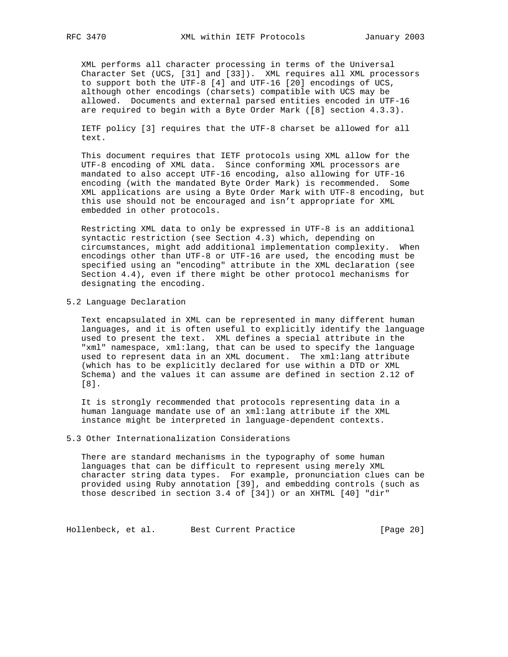XML performs all character processing in terms of the Universal Character Set (UCS, [31] and [33]). XML requires all XML processors to support both the UTF-8 [4] and UTF-16 [20] encodings of UCS, although other encodings (charsets) compatible with UCS may be allowed. Documents and external parsed entities encoded in UTF-16 are required to begin with a Byte Order Mark ([8] section 4.3.3).

 IETF policy [3] requires that the UTF-8 charset be allowed for all text.

 This document requires that IETF protocols using XML allow for the UTF-8 encoding of XML data. Since conforming XML processors are mandated to also accept UTF-16 encoding, also allowing for UTF-16 encoding (with the mandated Byte Order Mark) is recommended. Some XML applications are using a Byte Order Mark with UTF-8 encoding, but this use should not be encouraged and isn't appropriate for XML embedded in other protocols.

 Restricting XML data to only be expressed in UTF-8 is an additional syntactic restriction (see Section 4.3) which, depending on circumstances, might add additional implementation complexity. When encodings other than UTF-8 or UTF-16 are used, the encoding must be specified using an "encoding" attribute in the XML declaration (see Section 4.4), even if there might be other protocol mechanisms for designating the encoding.

5.2 Language Declaration

 Text encapsulated in XML can be represented in many different human languages, and it is often useful to explicitly identify the language used to present the text. XML defines a special attribute in the "xml" namespace, xml:lang, that can be used to specify the language used to represent data in an XML document. The xml:lang attribute (which has to be explicitly declared for use within a DTD or XML Schema) and the values it can assume are defined in section 2.12 of [8].

 It is strongly recommended that protocols representing data in a human language mandate use of an xml:lang attribute if the XML instance might be interpreted in language-dependent contexts.

5.3 Other Internationalization Considerations

 There are standard mechanisms in the typography of some human languages that can be difficult to represent using merely XML character string data types. For example, pronunciation clues can be provided using Ruby annotation [39], and embedding controls (such as those described in section 3.4 of [34]) or an XHTML [40] "dir"

Hollenbeck, et al. Best Current Practice [Page 20]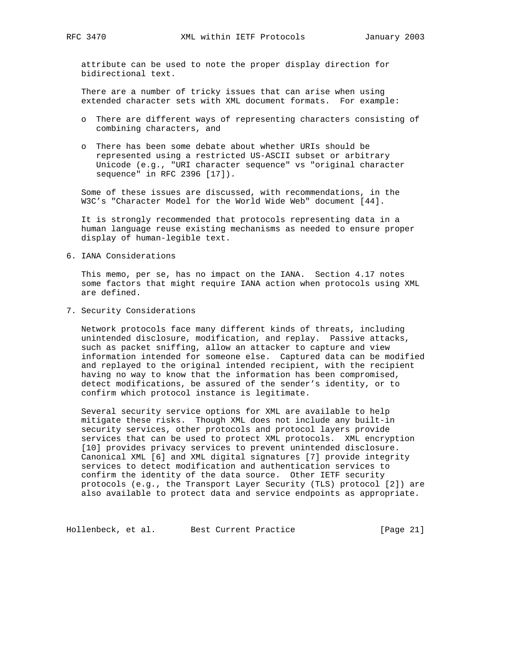attribute can be used to note the proper display direction for bidirectional text.

 There are a number of tricky issues that can arise when using extended character sets with XML document formats. For example:

- o There are different ways of representing characters consisting of combining characters, and
- o There has been some debate about whether URIs should be represented using a restricted US-ASCII subset or arbitrary Unicode (e.g., "URI character sequence" vs "original character sequence" in RFC 2396 [17]).

 Some of these issues are discussed, with recommendations, in the W3C's "Character Model for the World Wide Web" document [44].

 It is strongly recommended that protocols representing data in a human language reuse existing mechanisms as needed to ensure proper display of human-legible text.

6. IANA Considerations

 This memo, per se, has no impact on the IANA. Section 4.17 notes some factors that might require IANA action when protocols using XML are defined.

7. Security Considerations

 Network protocols face many different kinds of threats, including unintended disclosure, modification, and replay. Passive attacks, such as packet sniffing, allow an attacker to capture and view information intended for someone else. Captured data can be modified and replayed to the original intended recipient, with the recipient having no way to know that the information has been compromised, detect modifications, be assured of the sender's identity, or to confirm which protocol instance is legitimate.

 Several security service options for XML are available to help mitigate these risks. Though XML does not include any built-in security services, other protocols and protocol layers provide services that can be used to protect XML protocols. XML encryption [10] provides privacy services to prevent unintended disclosure. Canonical XML [6] and XML digital signatures [7] provide integrity services to detect modification and authentication services to confirm the identity of the data source. Other IETF security protocols (e.g., the Transport Layer Security (TLS) protocol [2]) are also available to protect data and service endpoints as appropriate.

Hollenbeck, et al. Best Current Practice [Page 21]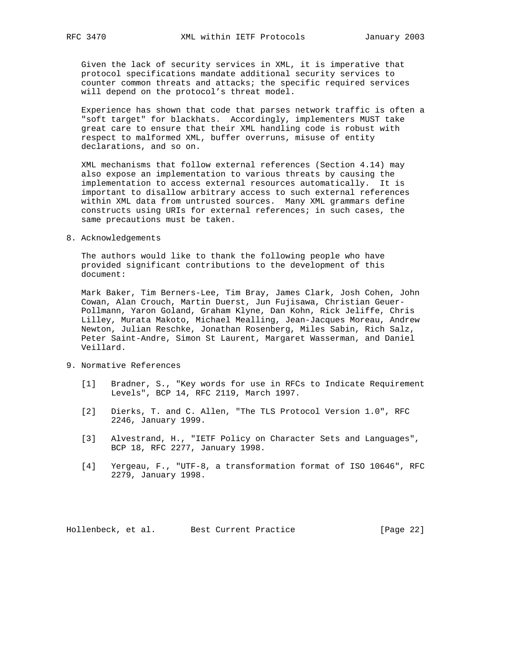Given the lack of security services in XML, it is imperative that protocol specifications mandate additional security services to counter common threats and attacks; the specific required services will depend on the protocol's threat model.

 Experience has shown that code that parses network traffic is often a "soft target" for blackhats. Accordingly, implementers MUST take great care to ensure that their XML handling code is robust with respect to malformed XML, buffer overruns, misuse of entity declarations, and so on.

 XML mechanisms that follow external references (Section 4.14) may also expose an implementation to various threats by causing the implementation to access external resources automatically. It is important to disallow arbitrary access to such external references within XML data from untrusted sources. Many XML grammars define constructs using URIs for external references; in such cases, the same precautions must be taken.

8. Acknowledgements

 The authors would like to thank the following people who have provided significant contributions to the development of this document:

 Mark Baker, Tim Berners-Lee, Tim Bray, James Clark, Josh Cohen, John Cowan, Alan Crouch, Martin Duerst, Jun Fujisawa, Christian Geuer- Pollmann, Yaron Goland, Graham Klyne, Dan Kohn, Rick Jeliffe, Chris Lilley, Murata Makoto, Michael Mealling, Jean-Jacques Moreau, Andrew Newton, Julian Reschke, Jonathan Rosenberg, Miles Sabin, Rich Salz, Peter Saint-Andre, Simon St Laurent, Margaret Wasserman, and Daniel Veillard.

- 9. Normative References
	- [1] Bradner, S., "Key words for use in RFCs to Indicate Requirement Levels", BCP 14, RFC 2119, March 1997.
	- [2] Dierks, T. and C. Allen, "The TLS Protocol Version 1.0", RFC 2246, January 1999.
	- [3] Alvestrand, H., "IETF Policy on Character Sets and Languages", BCP 18, RFC 2277, January 1998.
	- [4] Yergeau, F., "UTF-8, a transformation format of ISO 10646", RFC 2279, January 1998.

Hollenbeck, et al. Best Current Practice [Page 22]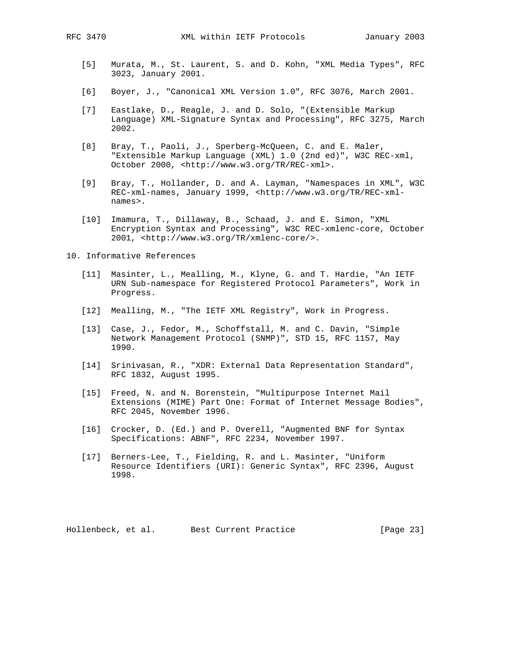- [5] Murata, M., St. Laurent, S. and D. Kohn, "XML Media Types", RFC 3023, January 2001.
- [6] Boyer, J., "Canonical XML Version 1.0", RFC 3076, March 2001.
- [7] Eastlake, D., Reagle, J. and D. Solo, "(Extensible Markup Language) XML-Signature Syntax and Processing", RFC 3275, March 2002.
- [8] Bray, T., Paoli, J., Sperberg-McQueen, C. and E. Maler, "Extensible Markup Language (XML) 1.0 (2nd ed)", W3C REC-xml, October 2000, <http://www.w3.org/TR/REC-xml>.
- [9] Bray, T., Hollander, D. and A. Layman, "Namespaces in XML", W3C REC-xml-names, January 1999, <http://www.w3.org/TR/REC-xmlnames>.
- [10] Imamura, T., Dillaway, B., Schaad, J. and E. Simon, "XML Encryption Syntax and Processing", W3C REC-xmlenc-core, October 2001, <http://www.w3.org/TR/xmlenc-core/>.

10. Informative References

- [11] Masinter, L., Mealling, M., Klyne, G. and T. Hardie, "An IETF URN Sub-namespace for Registered Protocol Parameters", Work in Progress.
- [12] Mealling, M., "The IETF XML Registry", Work in Progress.
- [13] Case, J., Fedor, M., Schoffstall, M. and C. Davin, "Simple Network Management Protocol (SNMP)", STD 15, RFC 1157, May 1990.
- [14] Srinivasan, R., "XDR: External Data Representation Standard", RFC 1832, August 1995.
- [15] Freed, N. and N. Borenstein, "Multipurpose Internet Mail Extensions (MIME) Part One: Format of Internet Message Bodies", RFC 2045, November 1996.
- [16] Crocker, D. (Ed.) and P. Overell, "Augmented BNF for Syntax Specifications: ABNF", RFC 2234, November 1997.
- [17] Berners-Lee, T., Fielding, R. and L. Masinter, "Uniform Resource Identifiers (URI): Generic Syntax", RFC 2396, August 1998.

Hollenbeck, et al. Best Current Practice [Page 23]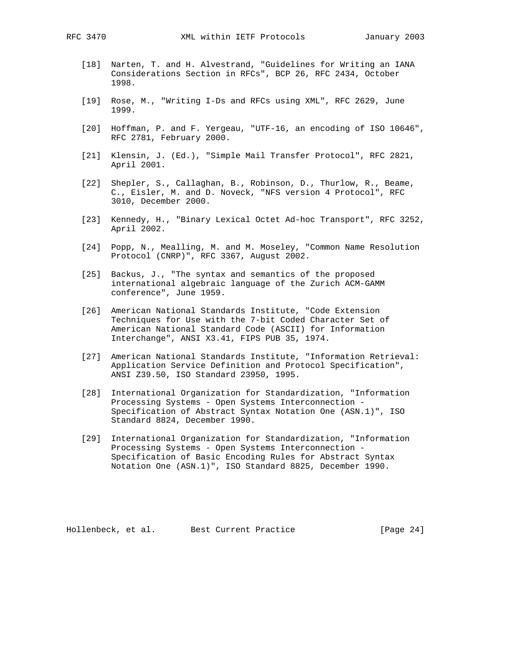- [18] Narten, T. and H. Alvestrand, "Guidelines for Writing an IANA Considerations Section in RFCs", BCP 26, RFC 2434, October 1998.
- [19] Rose, M., "Writing I-Ds and RFCs using XML", RFC 2629, June 1999.
- [20] Hoffman, P. and F. Yergeau, "UTF-16, an encoding of ISO 10646", RFC 2781, February 2000.
- [21] Klensin, J. (Ed.), "Simple Mail Transfer Protocol", RFC 2821, April 2001.
- [22] Shepler, S., Callaghan, B., Robinson, D., Thurlow, R., Beame, C., Eisler, M. and D. Noveck, "NFS version 4 Protocol", RFC 3010, December 2000.
- [23] Kennedy, H., "Binary Lexical Octet Ad-hoc Transport", RFC 3252, April 2002.
- [24] Popp, N., Mealling, M. and M. Moseley, "Common Name Resolution Protocol (CNRP)", RFC 3367, August 2002.
- [25] Backus, J., "The syntax and semantics of the proposed international algebraic language of the Zurich ACM-GAMM conference", June 1959.
- [26] American National Standards Institute, "Code Extension Techniques for Use with the 7-bit Coded Character Set of American National Standard Code (ASCII) for Information Interchange", ANSI X3.41, FIPS PUB 35, 1974.
- [27] American National Standards Institute, "Information Retrieval: Application Service Definition and Protocol Specification", ANSI Z39.50, ISO Standard 23950, 1995.
- [28] International Organization for Standardization, "Information Processing Systems - Open Systems Interconnection - Specification of Abstract Syntax Notation One (ASN.1)", ISO Standard 8824, December 1990.
- [29] International Organization for Standardization, "Information Processing Systems - Open Systems Interconnection - Specification of Basic Encoding Rules for Abstract Syntax Notation One (ASN.1)", ISO Standard 8825, December 1990.

Hollenbeck, et al. Best Current Practice [Page 24]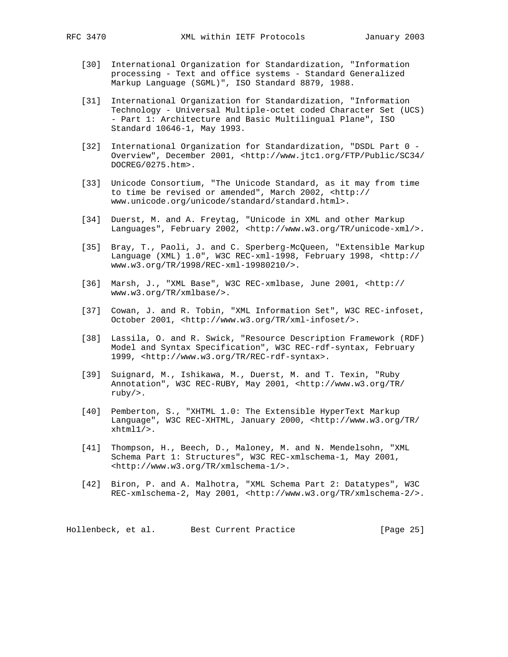- [30] International Organization for Standardization, "Information processing - Text and office systems - Standard Generalized Markup Language (SGML)", ISO Standard 8879, 1988.
- [31] International Organization for Standardization, "Information Technology - Universal Multiple-octet coded Character Set (UCS) - Part 1: Architecture and Basic Multilingual Plane", ISO Standard 10646-1, May 1993.
- [32] International Organization for Standardization, "DSDL Part 0 Overview", December 2001, <http://www.jtc1.org/FTP/Public/SC34/ DOCREG/0275.htm>.
- [33] Unicode Consortium, "The Unicode Standard, as it may from time to time be revised or amended", March 2002, <http:// www.unicode.org/unicode/standard/standard.html>.
- [34] Duerst, M. and A. Freytag, "Unicode in XML and other Markup Languages", February 2002, <http://www.w3.org/TR/unicode-xml/>.
- [35] Bray, T., Paoli, J. and C. Sperberg-McQueen, "Extensible Markup Language (XML) 1.0", W3C REC-xml-1998, February 1998, <http:// www.w3.org/TR/1998/REC-xml-19980210/>.
- [36] Marsh, J., "XML Base", W3C REC-xmlbase, June 2001, <http:// www.w3.org/TR/xmlbase/>.
- [37] Cowan, J. and R. Tobin, "XML Information Set", W3C REC-infoset, October 2001, <http://www.w3.org/TR/xml-infoset/>.
- [38] Lassila, O. and R. Swick, "Resource Description Framework (RDF) Model and Syntax Specification", W3C REC-rdf-syntax, February 1999, <http://www.w3.org/TR/REC-rdf-syntax>.
- [39] Suignard, M., Ishikawa, M., Duerst, M. and T. Texin, "Ruby Annotation", W3C REC-RUBY, May 2001, <http://www.w3.org/TR/ ruby/>.
- [40] Pemberton, S., "XHTML 1.0: The Extensible HyperText Markup Language", W3C REC-XHTML, January 2000, <http://www.w3.org/TR/ xhtml1/>.
- [41] Thompson, H., Beech, D., Maloney, M. and N. Mendelsohn, "XML Schema Part 1: Structures", W3C REC-xmlschema-1, May 2001, <http://www.w3.org/TR/xmlschema-1/>.
- [42] Biron, P. and A. Malhotra, "XML Schema Part 2: Datatypes", W3C REC-xmlschema-2, May 2001, <http://www.w3.org/TR/xmlschema-2/>.

Hollenbeck, et al. Best Current Practice [Page 25]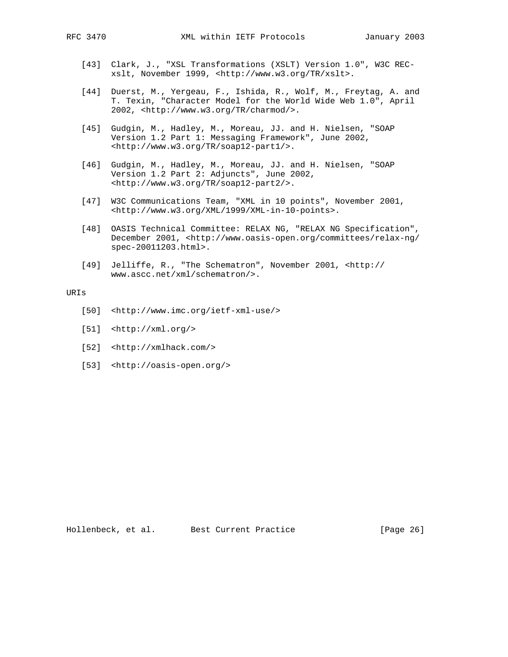- [43] Clark, J., "XSL Transformations (XSLT) Version 1.0", W3C REC xslt, November 1999, <http://www.w3.org/TR/xslt>.
- [44] Duerst, M., Yergeau, F., Ishida, R., Wolf, M., Freytag, A. and T. Texin, "Character Model for the World Wide Web 1.0", April 2002, <http://www.w3.org/TR/charmod/>.
- [45] Gudgin, M., Hadley, M., Moreau, JJ. and H. Nielsen, "SOAP Version 1.2 Part 1: Messaging Framework", June 2002, <http://www.w3.org/TR/soap12-part1/>.
- [46] Gudgin, M., Hadley, M., Moreau, JJ. and H. Nielsen, "SOAP Version 1.2 Part 2: Adjuncts", June 2002, <http://www.w3.org/TR/soap12-part2/>.
- [47] W3C Communications Team, "XML in 10 points", November 2001, <http://www.w3.org/XML/1999/XML-in-10-points>.
- [48] OASIS Technical Committee: RELAX NG, "RELAX NG Specification", December 2001, <http://www.oasis-open.org/committees/relax-ng/ spec-20011203.html>.
- [49] Jelliffe, R., "The Schematron", November 2001, <http:// www.ascc.net/xml/schematron/>.

## URIs

- [50] <http://www.imc.org/ietf-xml-use/>
- [51] <http://xml.org/>
- [52] <http://xmlhack.com/>
- [53] <http://oasis-open.org/>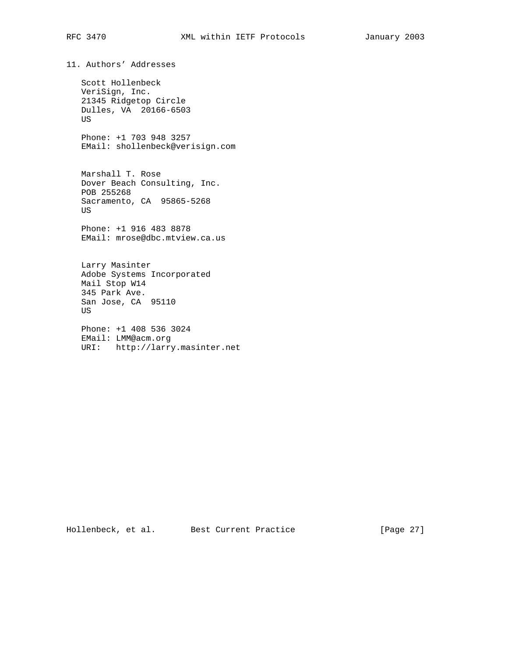11. Authors' Addresses Scott Hollenbeck

 VeriSign, Inc. 21345 Ridgetop Circle Dulles, VA 20166-6503 US

 Phone: +1 703 948 3257 EMail: shollenbeck@verisign.com

 Marshall T. Rose Dover Beach Consulting, Inc. POB 255268 Sacramento, CA 95865-5268 US

 Phone: +1 916 483 8878 EMail: mrose@dbc.mtview.ca.us

 Larry Masinter Adobe Systems Incorporated Mail Stop W14 345 Park Ave. San Jose, CA 95110 US

 Phone: +1 408 536 3024 EMail: LMM@acm.org URI: http://larry.masinter.net

Hollenbeck, et al. Best Current Practice [Page 27]